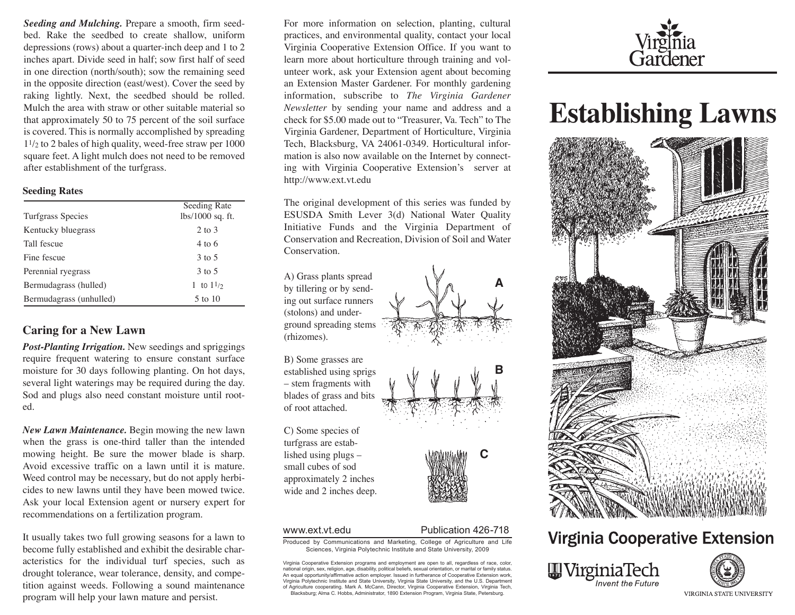*Seeding and Mulching.* Prepare a smooth, firm seedbed. Rake the seedbed to create shallow, uniform depressions (rows) about a quarter-inch deep and 1 to 2 inches apart. Divide seed in half; sow first half of seed in one direction (north/south); sow the remaining seed in the opposite direction (east/west). Cover the seed by raking lightly. Next, the seedbed should be rolled. Mulch the area with straw or other suitable material so that approximately 50 to 75 percent of the soil surface is covered. This is normally accomplished by spreading 11/2 to 2 bales of high quality, weed-free straw per 1000 square feet. A light mulch does not need to be removed after establishment of the turfgrass.

### **Seeding Rates**

|                          | Seeding Rate       |
|--------------------------|--------------------|
| <b>Turfgrass Species</b> | $lbs/1000$ sq. ft. |
| Kentucky bluegrass       | 2 to 3             |
| Tall fescue              | $4 \text{ to } 6$  |
| Fine fescue              | 3 to 5             |
| Perennial ryegrass       | 3 to 5             |
| Bermudagrass (hulled)    | 1 to $11/2$        |
| Bermudagrass (unhulled)  | 5 to 10            |

# **Caring for a New Lawn**

*Post-Planting Irrigation.* New seedings and spriggings require frequent watering to ensure constant surface moisture for 30 days following planting. On hot days, several light waterings may be required during the day. Sod and plugs also need constant moisture until rooted.

*New Lawn Maintenance.* Begin mowing the new lawn when the grass is one-third taller than the intended mowing height. Be sure the mower blade is sharp. Avoid excessive traffic on a lawn until it is mature. Weed control may be necessary, but do not apply herbicides to new lawns until they have been mowed twice. Ask your local Extension agent or nursery expert for recommendations on a fertilization program.

It usually takes two full growing seasons for a lawn to become fully established and exhibit the desirable characteristics for the individual turf species, such as drought tolerance, wear tolerance, density, and competition against weeds. Following a sound maintenance program will help your lawn mature and persist.

For more information on selection, planting, cultural practices, and environmental quality, contact your local Virginia Cooperative Extension Office. If you want to learn more about horticulture through training and volunteer work, ask your Extension agent about becoming an Extension Master Gardener. For monthly gardening information, subscribe to *The Virginia Gardener Newsletter* by sending your name and address and a check for \$5.00 made out to "Treasurer, Va. Tech" to The Virginia Gardener, Department of Horticulture, Virginia Tech, Blacksburg, VA 24061-0349. Horticultural information is also now available on the Internet by connecting with Virginia Cooperative Extension's server at http://www.ext.vt.edu

The original development of this series was funded by ESUSDA Smith Lever 3(d) National Water Quality Initiative Funds and the Virginia Department of Conservation and Recreation, Division of Soil and Water Conservation.

A) Grass plants spread by tillering or by sending out surface runners (stolons) and underground spreading stems (rhizomes).

B) Some grasses are established using sprigs – stem fragments with blades of grass and bits of root attached.

C) Some species of turfgrass are established using plugs – small cubes of sod approximately 2 inches wide and 2 inches deep.



# www.ext.vt.edu Publication 426-718

Produced by Communications and Marketing, College of Agriculture and Life Sciences, Virginia Polytechnic Institute and State University, 2009

Virginia Cooperative Extension programs and employment are open to all, regardless of race, color, national origin, sex, religion, age, disability, political beliefs, sexual orientation, or marital or family status. An equal opportunity/affirmative action employer. Issued in furtherance of Cooperative Extension work, Virginia Polytechnic Institute and State University, Virginia State University, and the U.S. Department of Agriculture cooperating. Mark A. McCann, Director, Virginia Cooperative Extension, Virginia Tech, Blacksburg; Alma C. Hobbs, Administrator, 1890 Extension Program, Virginia State, Petersburg.



# **Establishing Lawns**



# **Virginia Cooperative Extension**





VIRGINIA STATE UNIVERSITY



**B**